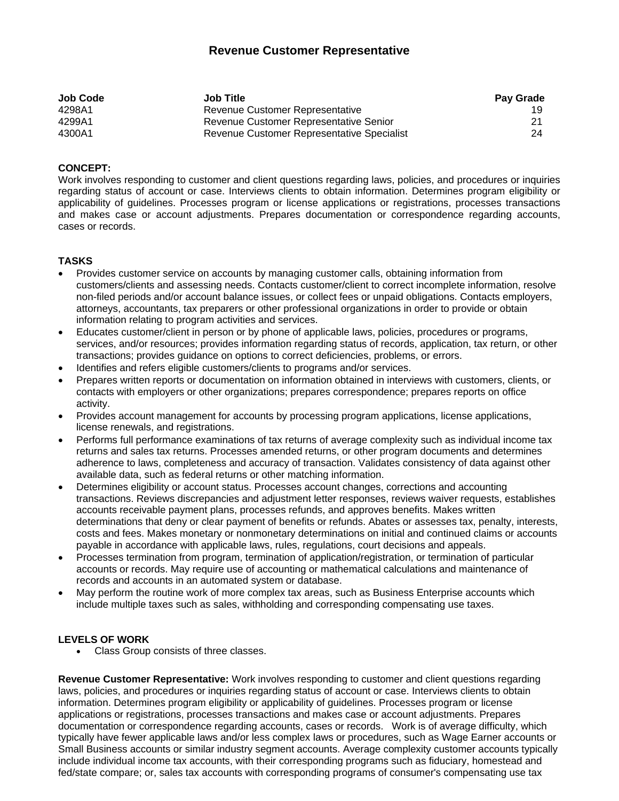# **Revenue Customer Representative**

| <b>Job Code</b> | <b>Job Title</b>                           | <b>Pay Grade</b> |
|-----------------|--------------------------------------------|------------------|
| 4298A1          | Revenue Customer Representative            | 19.              |
| 4299A1          | Revenue Customer Representative Senior     | 21.              |
| 4300A1          | Revenue Customer Representative Specialist | 24               |

## **CONCEPT:**

Work involves responding to customer and client questions regarding laws, policies, and procedures or inquiries regarding status of account or case. Interviews clients to obtain information. Determines program eligibility or applicability of guidelines. Processes program or license applications or registrations, processes transactions and makes case or account adjustments. Prepares documentation or correspondence regarding accounts, cases or records.

### **TASKS**

- Provides customer service on accounts by managing customer calls, obtaining information from customers/clients and assessing needs. Contacts customer/client to correct incomplete information, resolve non-filed periods and/or account balance issues, or collect fees or unpaid obligations. Contacts employers, attorneys, accountants, tax preparers or other professional organizations in order to provide or obtain information relating to program activities and services.
- Educates customer/client in person or by phone of applicable laws, policies, procedures or programs, services, and/or resources; provides information regarding status of records, application, tax return, or other transactions; provides guidance on options to correct deficiencies, problems, or errors.
- Identifies and refers eligible customers/clients to programs and/or services.
- Prepares written reports or documentation on information obtained in interviews with customers, clients, or contacts with employers or other organizations; prepares correspondence; prepares reports on office activity.
- Provides account management for accounts by processing program applications, license applications, license renewals, and registrations.
- Performs full performance examinations of tax returns of average complexity such as individual income tax returns and sales tax returns. Processes amended returns, or other program documents and determines adherence to laws, completeness and accuracy of transaction. Validates consistency of data against other available data, such as federal returns or other matching information.
- Determines eligibility or account status. Processes account changes, corrections and accounting transactions. Reviews discrepancies and adjustment letter responses, reviews waiver requests, establishes accounts receivable payment plans, processes refunds, and approves benefits. Makes written determinations that deny or clear payment of benefits or refunds. Abates or assesses tax, penalty, interests, costs and fees. Makes monetary or nonmonetary determinations on initial and continued claims or accounts payable in accordance with applicable laws, rules, regulations, court decisions and appeals.
- Processes termination from program, termination of application/registration, or termination of particular accounts or records. May require use of accounting or mathematical calculations and maintenance of records and accounts in an automated system or database.
- May perform the routine work of more complex tax areas, such as Business Enterprise accounts which include multiple taxes such as sales, withholding and corresponding compensating use taxes.

### **LEVELS OF WORK**

Class Group consists of three classes.

**Revenue Customer Representative:** Work involves responding to customer and client questions regarding laws, policies, and procedures or inquiries regarding status of account or case. Interviews clients to obtain information. Determines program eligibility or applicability of guidelines. Processes program or license applications or registrations, processes transactions and makes case or account adjustments. Prepares documentation or correspondence regarding accounts, cases or records. Work is of average difficulty, which typically have fewer applicable laws and/or less complex laws or procedures, such as Wage Earner accounts or Small Business accounts or similar industry segment accounts. Average complexity customer accounts typically include individual income tax accounts, with their corresponding programs such as fiduciary, homestead and fed/state compare; or, sales tax accounts with corresponding programs of consumer's compensating use tax